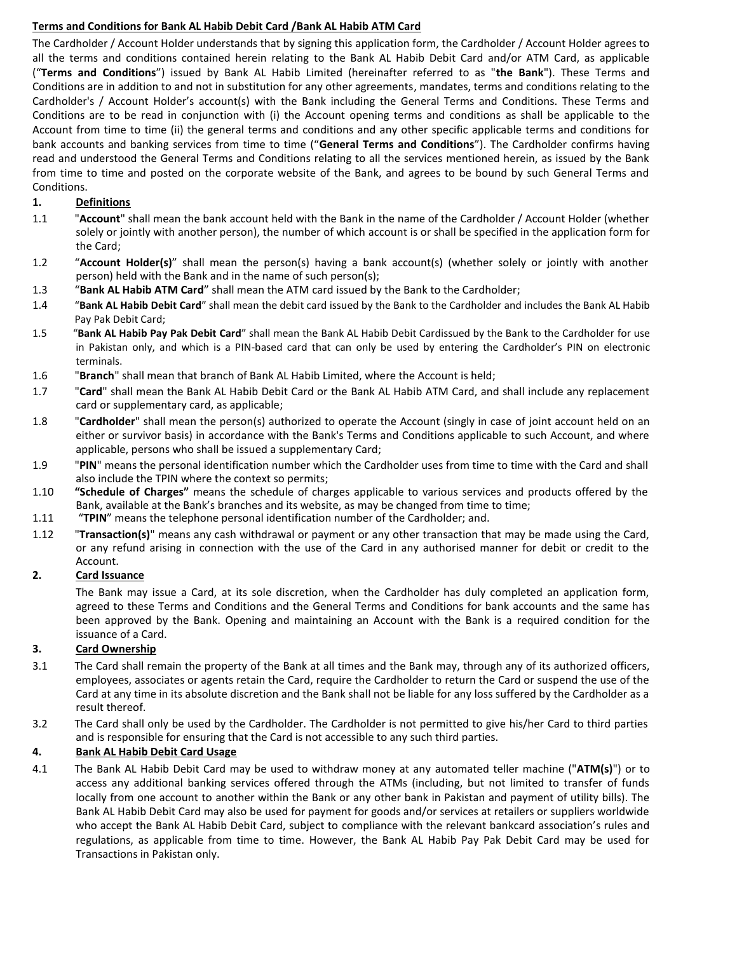# **Terms and Conditions for Bank AL Habib Debit Card /Bank AL Habib ATM Card**

The Cardholder / Account Holder understands that by signing this application form, the Cardholder / Account Holder agrees to all the terms and conditions contained herein relating to the Bank AL Habib Debit Card and/or ATM Card, as applicable ("**Terms and Conditions**") issued by Bank AL Habib Limited (hereinafter referred to as "**the Bank**"). These Terms and Conditions are in addition to and not in substitution for any other agreements, mandates, terms and conditions relating to the Cardholder's / Account Holder's account(s) with the Bank including the General Terms and Conditions. These Terms and Conditions are to be read in conjunction with (i) the Account opening terms and conditions as shall be applicable to the Account from time to time (ii) the general terms and conditions and any other specific applicable terms and conditions for bank accounts and banking services from time to time ("**General Terms and Conditions**"). The Cardholder confirms having read and understood the General Terms and Conditions relating to all the services mentioned herein, as issued by the Bank from time to time and posted on the corporate website of the Bank, and agrees to be bound by such General Terms and Conditions.

# **1. Definitions**

- 1.1 "**Account**" shall mean the bank account held with the Bank in the name of the Cardholder / Account Holder (whether solely or jointly with another person), the number of which account is or shall be specified in the application form for the Card;
- 1.2 "**Account Holder(s)**" shall mean the person(s) having a bank account(s) (whether solely or jointly with another person) held with the Bank and in the name of such person(s);
- 1.3 "**Bank AL Habib ATM Card**" shall mean the ATM card issued by the Bank to the Cardholder;
- 1.4 "**Bank AL Habib Debit Card**" shall mean the debit card issued by the Bank to the Cardholder and includes the Bank AL Habib Pay Pak Debit Card;
- 1.5 "**Bank AL Habib Pay Pak Debit Card**" shall mean the Bank AL Habib Debit Cardissued by the Bank to the Cardholder for use in Pakistan only, and which is a PIN-based card that can only be used by entering the Cardholder's PIN on electronic terminals.
- 1.6 "**Branch**" shall mean that branch of Bank AL Habib Limited, where the Account is held;
- 1.7 "**Card**" shall mean the Bank AL Habib Debit Card or the Bank AL Habib ATM Card, and shall include any replacement card or supplementary card, as applicable;
- 1.8 "**Cardholder**" shall mean the person(s) authorized to operate the Account (singly in case of joint account held on an either or survivor basis) in accordance with the Bank's Terms and Conditions applicable to such Account, and where applicable, persons who shall be issued a supplementary Card;
- 1.9 "**PIN**" means the personal identification number which the Cardholder uses from time to time with the Card and shall also include the TPIN where the context so permits;
- 1.10 **"Schedule of Charges"** means the schedule of charges applicable to various services and products offered by the Bank, available at the Bank's branches and its website, as may be changed from time to time;
- 1.11 "**TPIN**" means the telephone personal identification number of the Cardholder; and.
- 1.12 "**Transaction(s)**" means any cash withdrawal or payment or any other transaction that may be made using the Card, or any refund arising in connection with the use of the Card in any authorised manner for debit or credit to the Account.

### **2. Card Issuance**

The Bank may issue a Card, at its sole discretion, when the Cardholder has duly completed an application form, agreed to these Terms and Conditions and the General Terms and Conditions for bank accounts and the same has been approved by the Bank. Opening and maintaining an Account with the Bank is a required condition for the issuance of a Card.

# **3. Card Ownership**

- 3.1 The Card shall remain the property of the Bank at all times and the Bank may, through any of its authorized officers, employees, associates or agents retain the Card, require the Cardholder to return the Card or suspend the use of the Card at any time in its absolute discretion and the Bank shall not be liable for any loss suffered by the Cardholder as a result thereof.
- 3.2 The Card shall only be used by the Cardholder. The Cardholder is not permitted to give his/her Card to third parties and is responsible for ensuring that the Card is not accessible to any such third parties.

### **4. Bank AL Habib Debit Card Usage**

4.1 The Bank AL Habib Debit Card may be used to withdraw money at any automated teller machine ("**ATM(s)**") or to access any additional banking services offered through the ATMs (including, but not limited to transfer of funds locally from one account to another within the Bank or any other bank in Pakistan and payment of utility bills). The Bank AL Habib Debit Card may also be used for payment for goods and/or services at retailers or suppliers worldwide who accept the Bank AL Habib Debit Card, subject to compliance with the relevant bankcard association's rules and regulations, as applicable from time to time. However, the Bank AL Habib Pay Pak Debit Card may be used for Transactions in Pakistan only.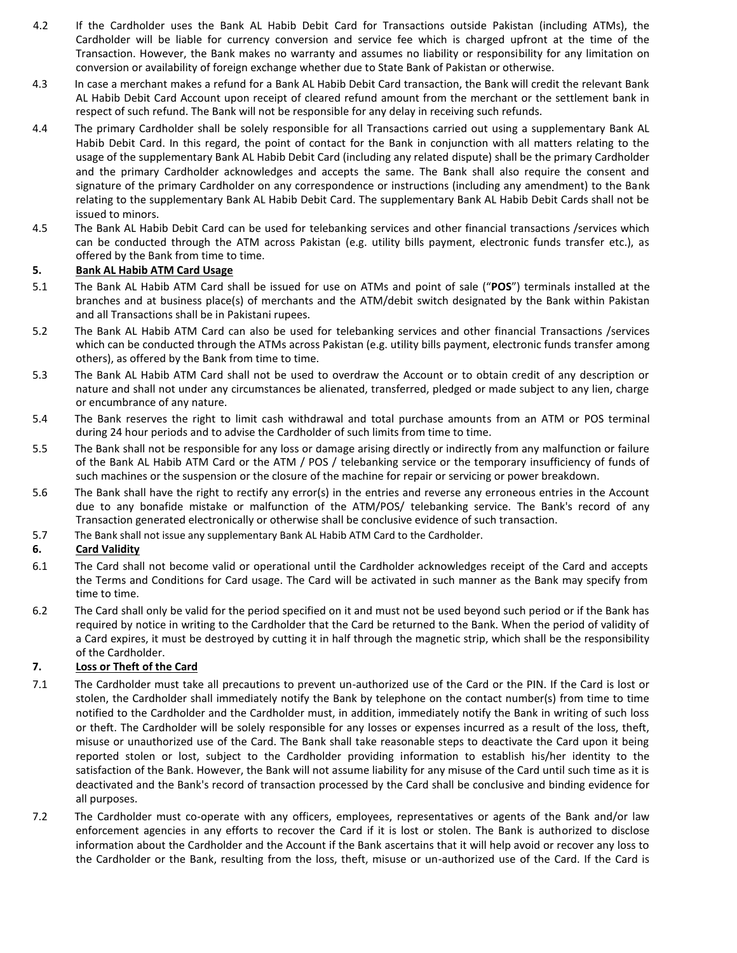- 4.2 If the Cardholder uses the Bank AL Habib Debit Card for Transactions outside Pakistan (including ATMs), the Cardholder will be liable for currency conversion and service fee which is charged upfront at the time of the Transaction. However, the Bank makes no warranty and assumes no liability or responsibility for any limitation on conversion or availability of foreign exchange whether due to State Bank of Pakistan or otherwise.
- 4.3 In case a merchant makes a refund for a Bank AL Habib Debit Card transaction, the Bank will credit the relevant Bank AL Habib Debit Card Account upon receipt of cleared refund amount from the merchant or the settlement bank in respect of such refund. The Bank will not be responsible for any delay in receiving such refunds.
- 4.4 The primary Cardholder shall be solely responsible for all Transactions carried out using a supplementary Bank AL Habib Debit Card. In this regard, the point of contact for the Bank in conjunction with all matters relating to the usage of the supplementary Bank AL Habib Debit Card (including any related dispute) shall be the primary Cardholder and the primary Cardholder acknowledges and accepts the same. The Bank shall also require the consent and signature of the primary Cardholder on any correspondence or instructions (including any amendment) to the Bank relating to the supplementary Bank AL Habib Debit Card. The supplementary Bank AL Habib Debit Cards shall not be issued to minors.
- 4.5 The Bank AL Habib Debit Card can be used for telebanking services and other financial transactions /services which can be conducted through the ATM across Pakistan (e.g. utility bills payment, electronic funds transfer etc.), as offered by the Bank from time to time.

### **5. Bank AL Habib ATM Card Usage**

- 5.1 The Bank AL Habib ATM Card shall be issued for use on ATMs and point of sale ("**POS**") terminals installed at the branches and at business place(s) of merchants and the ATM/debit switch designated by the Bank within Pakistan and all Transactions shall be in Pakistani rupees.
- 5.2 The Bank AL Habib ATM Card can also be used for telebanking services and other financial Transactions /services which can be conducted through the ATMs across Pakistan (e.g. utility bills payment, electronic funds transfer among others), as offered by the Bank from time to time.
- 5.3 The Bank AL Habib ATM Card shall not be used to overdraw the Account or to obtain credit of any description or nature and shall not under any circumstances be alienated, transferred, pledged or made subject to any lien, charge or encumbrance of any nature.
- 5.4 The Bank reserves the right to limit cash withdrawal and total purchase amounts from an ATM or POS terminal during 24 hour periods and to advise the Cardholder of such limits from time to time.
- 5.5 The Bank shall not be responsible for any loss or damage arising directly or indirectly from any malfunction or failure of the Bank AL Habib ATM Card or the ATM / POS / telebanking service or the temporary insufficiency of funds of such machines or the suspension or the closure of the machine for repair or servicing or power breakdown.
- 5.6 The Bank shall have the right to rectify any error(s) in the entries and reverse any erroneous entries in the Account due to any bonafide mistake or malfunction of the ATM/POS/ telebanking service. The Bank's record of any Transaction generated electronically or otherwise shall be conclusive evidence of such transaction.
- 5.7 The Bank shall not issue any supplementary Bank AL Habib ATM Card to the Cardholder.

# **6. Card Validity**

- 6.1 The Card shall not become valid or operational until the Cardholder acknowledges receipt of the Card and accepts the Terms and Conditions for Card usage. The Card will be activated in such manner as the Bank may specify from time to time.
- 6.2 The Card shall only be valid for the period specified on it and must not be used beyond such period or if the Bank has required by notice in writing to the Cardholder that the Card be returned to the Bank. When the period of validity of a Card expires, it must be destroyed by cutting it in half through the magnetic strip, which shall be the responsibility of the Cardholder.

# **7. Loss or Theft of the Card**

- 7.1 The Cardholder must take all precautions to prevent un-authorized use of the Card or the PIN. If the Card is lost or stolen, the Cardholder shall immediately notify the Bank by telephone on the contact number(s) from time to time notified to the Cardholder and the Cardholder must, in addition, immediately notify the Bank in writing of such loss or theft. The Cardholder will be solely responsible for any losses or expenses incurred as a result of the loss, theft, misuse or unauthorized use of the Card. The Bank shall take reasonable steps to deactivate the Card upon it being reported stolen or lost, subject to the Cardholder providing information to establish his/her identity to the satisfaction of the Bank. However, the Bank will not assume liability for any misuse of the Card until such time as it is deactivated and the Bank's record of transaction processed by the Card shall be conclusive and binding evidence for all purposes.
- 7.2 The Cardholder must co-operate with any officers, employees, representatives or agents of the Bank and/or law enforcement agencies in any efforts to recover the Card if it is lost or stolen. The Bank is authorized to disclose information about the Cardholder and the Account if the Bank ascertains that it will help avoid or recover any loss to the Cardholder or the Bank, resulting from the loss, theft, misuse or un-authorized use of the Card. If the Card is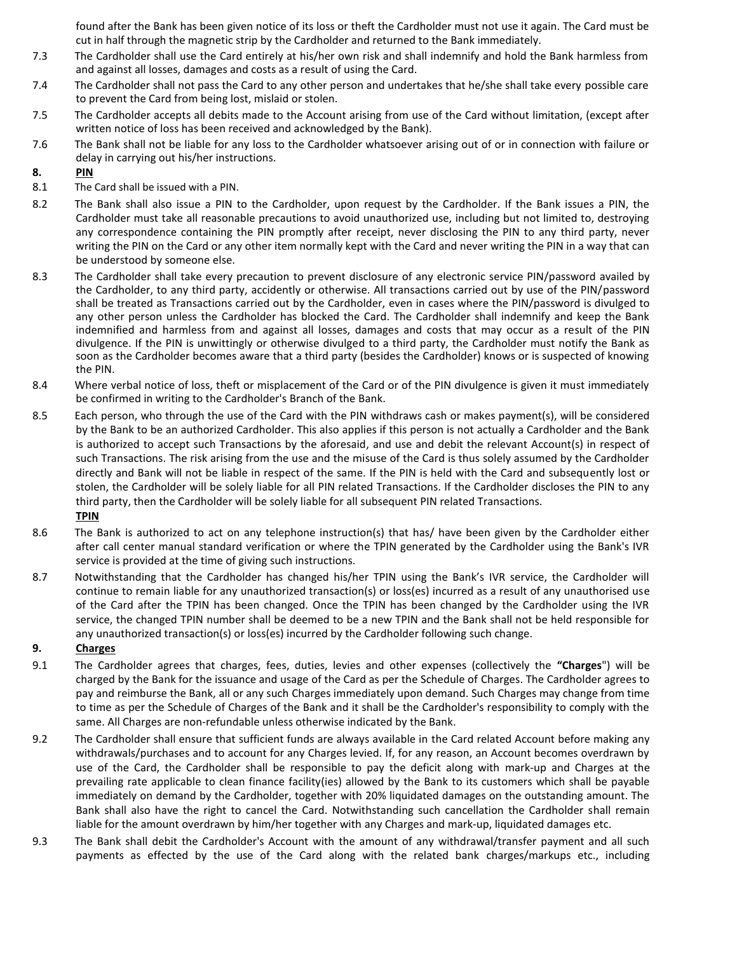found after the Bank has been given notice of its loss or theft the Cardholder must not use it again. The Card must be cut in half through the magnetic strip by the Cardholder and returned to the Bank immediately.

- 7.3 The Cardholder shall use the Card entirely at his/her own risk and shall indemnify and hold the Bank harmless from and against all losses, damages and costs as a result of using the Card.
- 7.4 The Cardholder shall not pass the Card to any other person and undertakes that he/she shall take every possible care to prevent the Card from being lost, mislaid or stolen.
- 7.5 The Cardholder accepts all debits made to the Account arising from use of the Card without limitation, (except after written notice of loss has been received and acknowledged by the Bank).
- 7.6 The Bank shall not be liable for any loss to the Cardholder whatsoever arising out of or in connection with failure or delay in carrying out his/her instructions.

# **8. PIN**

- 8.1 The Card shall be issued with a PIN.
- 8.2 The Bank shall also issue a PIN to the Cardholder, upon request by the Cardholder. If the Bank issues a PIN, the Cardholder must take all reasonable precautions to avoid unauthorized use, including but not limited to, destroying any correspondence containing the PIN promptly after receipt, never disclosing the PIN to any third party, never writing the PIN on the Card or any other item normally kept with the Card and never writing the PIN in a way that can be understood by someone else.
- 8.3 The Cardholder shall take every precaution to prevent disclosure of any electronic service PIN/password availed by the Cardholder, to any third party, accidently or otherwise. All transactions carried out by use of the PIN/password shall be treated as Transactions carried out by the Cardholder, even in cases where the PIN/password is divulged to any other person unless the Cardholder has blocked the Card. The Cardholder shall indemnify and keep the Bank indemnified and harmless from and against all losses, damages and costs that may occur as a result of the PIN divulgence. If the PIN is unwittingly or otherwise divulged to a third party, the Cardholder must notify the Bank as soon as the Cardholder becomes aware that a third party (besides the Cardholder) knows or is suspected of knowing the PIN.
- 8.4 Where verbal notice of loss, theft or misplacement of the Card or of the PIN divulgence is given it must immediately be confirmed in writing to the Cardholder's Branch of the Bank.
- 8.5 Each person, who through the use of the Card with the PIN withdraws cash or makes payment(s), will be considered by the Bank to be an authorized Cardholder. This also applies if this person is not actually a Cardholder and the Bank is authorized to accept such Transactions by the aforesaid, and use and debit the relevant Account(s) in respect of such Transactions. The risk arising from the use and the misuse of the Card is thus solely assumed by the Cardholder directly and Bank will not be liable in respect of the same. If the PIN is held with the Card and subsequently lost or stolen, the Cardholder will be solely liable for all PIN related Transactions. If the Cardholder discloses the PIN to any third party, then the Cardholder will be solely liable for all subsequent PIN related Transactions. **TPIN**
- 8.6 The Bank is authorized to act on any telephone instruction(s) that has/ have been given by the Cardholder either after call center manual standard verification or where the TPIN generated by the Cardholder using the Bank's IVR service is provided at the time of giving such instructions.
- 8.7 Notwithstanding that the Cardholder has changed his/her TPIN using the Bank's IVR service, the Cardholder will continue to remain liable for any unauthorized transaction(s) or loss(es) incurred as a result of any unauthorised use of the Card after the TPIN has been changed. Once the TPIN has been changed by the Cardholder using the IVR service, the changed TPIN number shall be deemed to be a new TPIN and the Bank shall not be held responsible for any unauthorized transaction(s) or loss(es) incurred by the Cardholder following such change.

# **9. Charges**

- 9.1 The Cardholder agrees that charges, fees, duties, levies and other expenses (collectively the **"Charges**") will be charged by the Bank for the issuance and usage of the Card as per the Schedule of Charges. The Cardholder agrees to pay and reimburse the Bank, all or any such Charges immediately upon demand. Such Charges may change from time to time as per the Schedule of Charges of the Bank and it shall be the Cardholder's responsibility to comply with the same. All Charges are non-refundable unless otherwise indicated by the Bank.
- 9.2 The Cardholder shall ensure that sufficient funds are always available in the Card related Account before making any withdrawals/purchases and to account for any Charges levied. If, for any reason, an Account becomes overdrawn by use of the Card, the Cardholder shall be responsible to pay the deficit along with mark-up and Charges at the prevailing rate applicable to clean finance facility(ies) allowed by the Bank to its customers which shall be payable immediately on demand by the Cardholder, together with 20% liquidated damages on the outstanding amount. The Bank shall also have the right to cancel the Card. Notwithstanding such cancellation the Cardholder shall remain liable for the amount overdrawn by him/her together with any Charges and mark-up, liquidated damages etc.
- 9.3 The Bank shall debit the Cardholder's Account with the amount of any withdrawal/transfer payment and all such payments as effected by the use of the Card along with the related bank charges/markups etc., including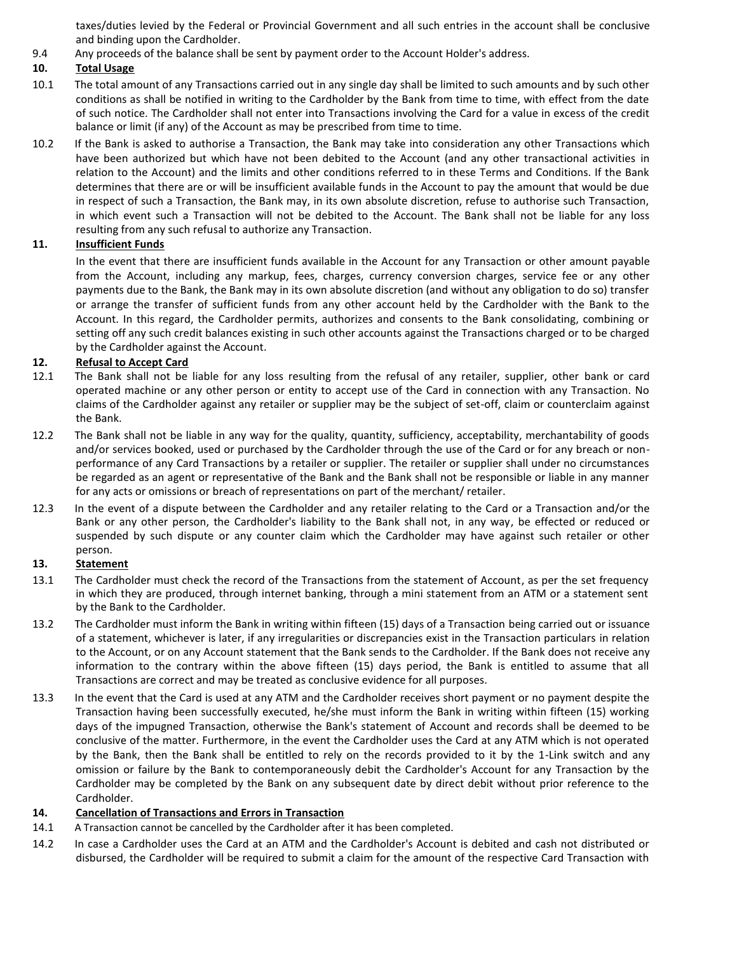taxes/duties levied by the Federal or Provincial Government and all such entries in the account shall be conclusive and binding upon the Cardholder.

9.4 Any proceeds of the balance shall be sent by payment order to the Account Holder's address.

### **10. Total Usage**

- 10.1 The total amount of any Transactions carried out in any single day shall be limited to such amounts and by such other conditions as shall be notified in writing to the Cardholder by the Bank from time to time, with effect from the date of such notice. The Cardholder shall not enter into Transactions involving the Card for a value in excess of the credit balance or limit (if any) of the Account as may be prescribed from time to time.
- 10.2 If the Bank is asked to authorise a Transaction, the Bank may take into consideration any other Transactions which have been authorized but which have not been debited to the Account (and any other transactional activities in relation to the Account) and the limits and other conditions referred to in these Terms and Conditions. If the Bank determines that there are or will be insufficient available funds in the Account to pay the amount that would be due in respect of such a Transaction, the Bank may, in its own absolute discretion, refuse to authorise such Transaction, in which event such a Transaction will not be debited to the Account. The Bank shall not be liable for any loss resulting from any such refusal to authorize any Transaction.

## **11. Insufficient Funds**

In the event that there are insufficient funds available in the Account for any Transaction or other amount payable from the Account, including any markup, fees, charges, currency conversion charges, service fee or any other payments due to the Bank, the Bank may in its own absolute discretion (and without any obligation to do so) transfer or arrange the transfer of sufficient funds from any other account held by the Cardholder with the Bank to the Account. In this regard, the Cardholder permits, authorizes and consents to the Bank consolidating, combining or setting off any such credit balances existing in such other accounts against the Transactions charged or to be charged by the Cardholder against the Account.

### **12. Refusal to Accept Card**

- 12.1 The Bank shall not be liable for any loss resulting from the refusal of any retailer, supplier, other bank or card operated machine or any other person or entity to accept use of the Card in connection with any Transaction. No claims of the Cardholder against any retailer or supplier may be the subject of set-off, claim or counterclaim against the Bank.
- 12.2 The Bank shall not be liable in any way for the quality, quantity, sufficiency, acceptability, merchantability of goods and/or services booked, used or purchased by the Cardholder through the use of the Card or for any breach or nonperformance of any Card Transactions by a retailer or supplier. The retailer or supplier shall under no circumstances be regarded as an agent or representative of the Bank and the Bank shall not be responsible or liable in any manner for any acts or omissions or breach of representations on part of the merchant/ retailer.
- 12.3 In the event of a dispute between the Cardholder and any retailer relating to the Card or a Transaction and/or the Bank or any other person, the Cardholder's liability to the Bank shall not, in any way, be effected or reduced or suspended by such dispute or any counter claim which the Cardholder may have against such retailer or other person.

### **13. Statement**

- 13.1 The Cardholder must check the record of the Transactions from the statement of Account, as per the set frequency in which they are produced, through internet banking, through a mini statement from an ATM or a statement sent by the Bank to the Cardholder.
- 13.2 The Cardholder must inform the Bank in writing within fifteen (15) days of a Transaction being carried out or issuance of a statement, whichever is later, if any irregularities or discrepancies exist in the Transaction particulars in relation to the Account, or on any Account statement that the Bank sends to the Cardholder. If the Bank does not receive any information to the contrary within the above fifteen (15) days period, the Bank is entitled to assume that all Transactions are correct and may be treated as conclusive evidence for all purposes.
- 13.3 In the event that the Card is used at any ATM and the Cardholder receives short payment or no payment despite the Transaction having been successfully executed, he/she must inform the Bank in writing within fifteen (15) working days of the impugned Transaction, otherwise the Bank's statement of Account and records shall be deemed to be conclusive of the matter. Furthermore, in the event the Cardholder uses the Card at any ATM which is not operated by the Bank, then the Bank shall be entitled to rely on the records provided to it by the 1-Link switch and any omission or failure by the Bank to contemporaneously debit the Cardholder's Account for any Transaction by the Cardholder may be completed by the Bank on any subsequent date by direct debit without prior reference to the Cardholder.

### **14. Cancellation of Transactions and Errors in Transaction**

- 14.1 A Transaction cannot be cancelled by the Cardholder after it has been completed.
- 14.2 In case a Cardholder uses the Card at an ATM and the Cardholder's Account is debited and cash not distributed or disbursed, the Cardholder will be required to submit a claim for the amount of the respective Card Transaction with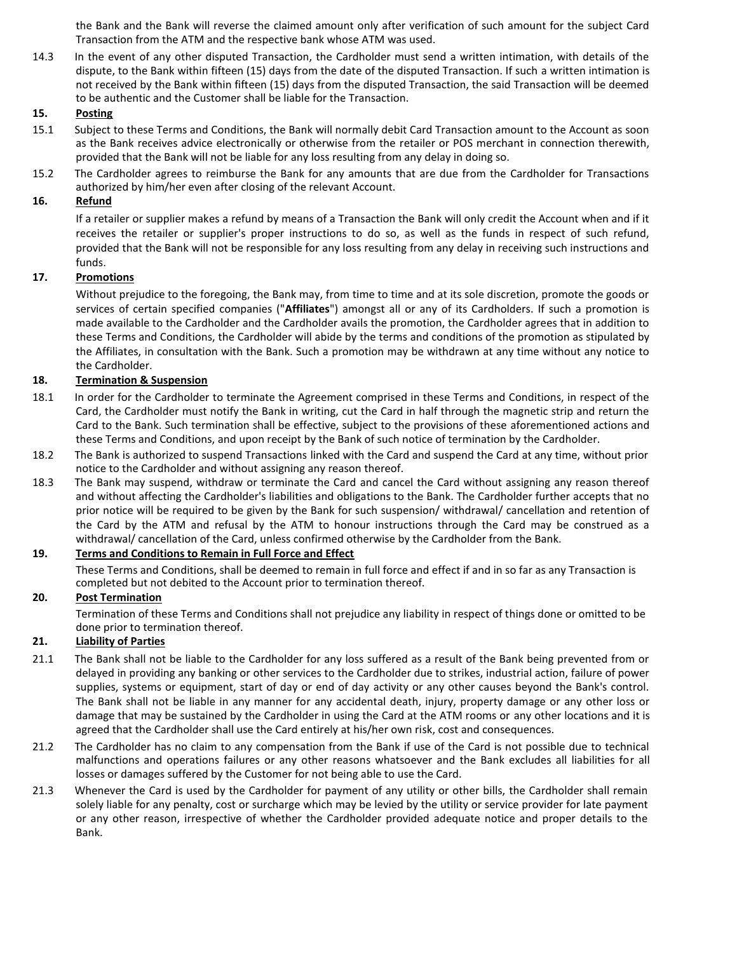the Bank and the Bank will reverse the claimed amount only after verification of such amount for the subject Card Transaction from the ATM and the respective bank whose ATM was used.

14.3 In the event of any other disputed Transaction, the Cardholder must send a written intimation, with details of the dispute, to the Bank within fifteen (15) days from the date of the disputed Transaction. If such a written intimation is not received by the Bank within fifteen (15) days from the disputed Transaction, the said Transaction will be deemed to be authentic and the Customer shall be liable for the Transaction.

### **15. Posting**

- 15.1 Subject to these Terms and Conditions, the Bank will normally debit Card Transaction amount to the Account as soon as the Bank receives advice electronically or otherwise from the retailer or POS merchant in connection therewith, provided that the Bank will not be liable for any loss resulting from any delay in doing so.
- 15.2 The Cardholder agrees to reimburse the Bank for any amounts that are due from the Cardholder for Transactions authorized by him/her even after closing of the relevant Account.

### **16. Refund**

If a retailer or supplier makes a refund by means of a Transaction the Bank will only credit the Account when and if it receives the retailer or supplier's proper instructions to do so, as well as the funds in respect of such refund, provided that the Bank will not be responsible for any loss resulting from any delay in receiving such instructions and funds.

# **17. Promotions**

Without prejudice to the foregoing, the Bank may, from time to time and at its sole discretion, promote the goods or services of certain specified companies ("**Affiliates**") amongst all or any of its Cardholders. If such a promotion is made available to the Cardholder and the Cardholder avails the promotion, the Cardholder agrees that in addition to these Terms and Conditions, the Cardholder will abide by the terms and conditions of the promotion as stipulated by the Affiliates, in consultation with the Bank. Such a promotion may be withdrawn at any time without any notice to the Cardholder.

### **18. Termination & Suspension**

- 18.1 In order for the Cardholder to terminate the Agreement comprised in these Terms and Conditions, in respect of the Card, the Cardholder must notify the Bank in writing, cut the Card in half through the magnetic strip and return the Card to the Bank. Such termination shall be effective, subject to the provisions of these aforementioned actions and these Terms and Conditions, and upon receipt by the Bank of such notice of termination by the Cardholder.
- 18.2 The Bank is authorized to suspend Transactions linked with the Card and suspend the Card at any time, without prior notice to the Cardholder and without assigning any reason thereof.
- 18.3 The Bank may suspend, withdraw or terminate the Card and cancel the Card without assigning any reason thereof and without affecting the Cardholder's liabilities and obligations to the Bank. The Cardholder further accepts that no prior notice will be required to be given by the Bank for such suspension/ withdrawal/ cancellation and retention of the Card by the ATM and refusal by the ATM to honour instructions through the Card may be construed as a withdrawal/ cancellation of the Card, unless confirmed otherwise by the Cardholder from the Bank.

### **19. Terms and Conditions to Remain in Full Force and Effect**

These Terms and Conditions, shall be deemed to remain in full force and effect if and in so far as any Transaction is completed but not debited to the Account prior to termination thereof.

### **20. Post Termination**

Termination of these Terms and Conditions shall not prejudice any liability in respect of things done or omitted to be done prior to termination thereof.

# **21. Liability of Parties**

- 21.1 The Bank shall not be liable to the Cardholder for any loss suffered as a result of the Bank being prevented from or delayed in providing any banking or other services to the Cardholder due to strikes, industrial action, failure of power supplies, systems or equipment, start of day or end of day activity or any other causes beyond the Bank's control. The Bank shall not be liable in any manner for any accidental death, injury, property damage or any other loss or damage that may be sustained by the Cardholder in using the Card at the ATM rooms or any other locations and it is agreed that the Cardholder shall use the Card entirely at his/her own risk, cost and consequences.
- 21.2 The Cardholder has no claim to any compensation from the Bank if use of the Card is not possible due to technical malfunctions and operations failures or any other reasons whatsoever and the Bank excludes all liabilities for all losses or damages suffered by the Customer for not being able to use the Card.
- 21.3 Whenever the Card is used by the Cardholder for payment of any utility or other bills, the Cardholder shall remain solely liable for any penalty, cost or surcharge which may be levied by the utility or service provider for late payment or any other reason, irrespective of whether the Cardholder provided adequate notice and proper details to the Bank.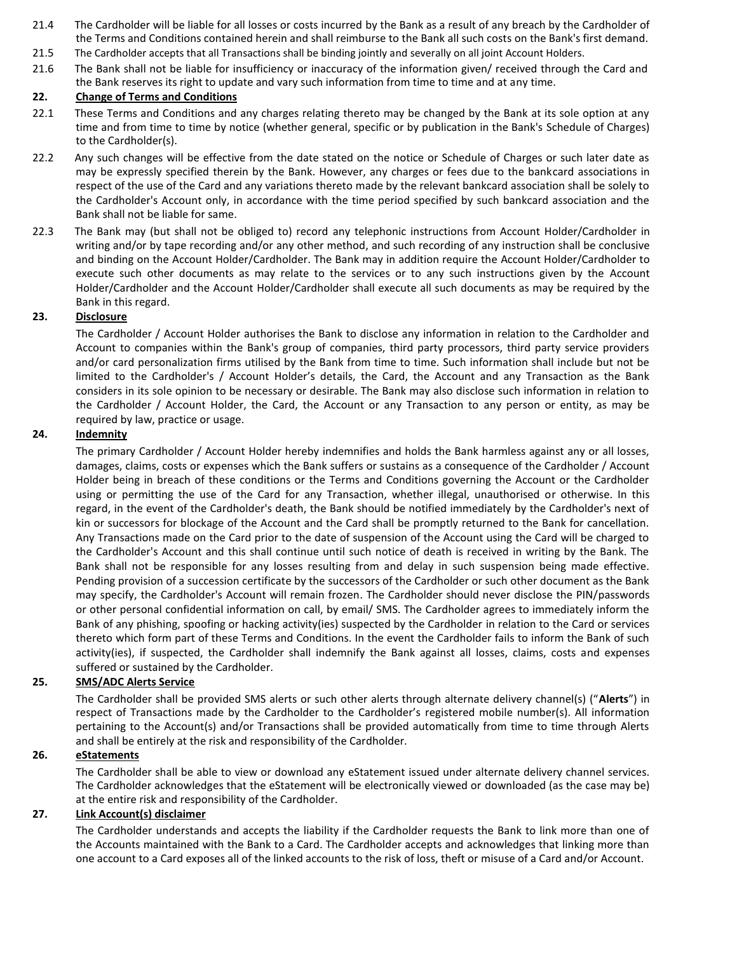- 21.4 The Cardholder will be liable for all losses or costs incurred by the Bank as a result of any breach by the Cardholder of the Terms and Conditions contained herein and shall reimburse to the Bank all such costs on the Bank's first demand.
- 21.5 The Cardholder accepts that all Transactions shall be binding jointly and severally on all joint Account Holders.
- 21.6 The Bank shall not be liable for insufficiency or inaccuracy of the information given/ received through the Card and the Bank reserves its right to update and vary such information from time to time and at any time.

### **22. Change of Terms and Conditions**

- 22.1 These Terms and Conditions and any charges relating thereto may be changed by the Bank at its sole option at any time and from time to time by notice (whether general, specific or by publication in the Bank's Schedule of Charges) to the Cardholder(s).
- 22.2 Any such changes will be effective from the date stated on the notice or Schedule of Charges or such later date as may be expressly specified therein by the Bank. However, any charges or fees due to the bankcard associations in respect of the use of the Card and any variations thereto made by the relevant bankcard association shall be solely to the Cardholder's Account only, in accordance with the time period specified by such bankcard association and the Bank shall not be liable for same.
- 22.3 The Bank may (but shall not be obliged to) record any telephonic instructions from Account Holder/Cardholder in writing and/or by tape recording and/or any other method, and such recording of any instruction shall be conclusive and binding on the Account Holder/Cardholder. The Bank may in addition require the Account Holder/Cardholder to execute such other documents as may relate to the services or to any such instructions given by the Account Holder/Cardholder and the Account Holder/Cardholder shall execute all such documents as may be required by the Bank in this regard.

## **23. Disclosure**

The Cardholder / Account Holder authorises the Bank to disclose any information in relation to the Cardholder and Account to companies within the Bank's group of companies, third party processors, third party service providers and/or card personalization firms utilised by the Bank from time to time. Such information shall include but not be limited to the Cardholder's / Account Holder's details, the Card, the Account and any Transaction as the Bank considers in its sole opinion to be necessary or desirable. The Bank may also disclose such information in relation to the Cardholder / Account Holder, the Card, the Account or any Transaction to any person or entity, as may be required by law, practice or usage.

#### **24. Indemnity**

The primary Cardholder / Account Holder hereby indemnifies and holds the Bank harmless against any or all losses, damages, claims, costs or expenses which the Bank suffers or sustains as a consequence of the Cardholder / Account Holder being in breach of these conditions or the Terms and Conditions governing the Account or the Cardholder using or permitting the use of the Card for any Transaction, whether illegal, unauthorised or otherwise. In this regard, in the event of the Cardholder's death, the Bank should be notified immediately by the Cardholder's next of kin or successors for blockage of the Account and the Card shall be promptly returned to the Bank for cancellation. Any Transactions made on the Card prior to the date of suspension of the Account using the Card will be charged to the Cardholder's Account and this shall continue until such notice of death is received in writing by the Bank. The Bank shall not be responsible for any losses resulting from and delay in such suspension being made effective. Pending provision of a succession certificate by the successors of the Cardholder or such other document as the Bank may specify, the Cardholder's Account will remain frozen. The Cardholder should never disclose the PIN/passwords or other personal confidential information on call, by email/ SMS. The Cardholder agrees to immediately inform the Bank of any phishing, spoofing or hacking activity(ies) suspected by the Cardholder in relation to the Card or services thereto which form part of these Terms and Conditions. In the event the Cardholder fails to inform the Bank of such activity(ies), if suspected, the Cardholder shall indemnify the Bank against all losses, claims, costs and expenses suffered or sustained by the Cardholder.

### **25. SMS/ADC Alerts Service**

The Cardholder shall be provided SMS alerts or such other alerts through alternate delivery channel(s) ("**Alerts**") in respect of Transactions made by the Cardholder to the Cardholder's registered mobile number(s). All information pertaining to the Account(s) and/or Transactions shall be provided automatically from time to time through Alerts and shall be entirely at the risk and responsibility of the Cardholder.

### **26. eStatements**

The Cardholder shall be able to view or download any eStatement issued under alternate delivery channel services. The Cardholder acknowledges that the eStatement will be electronically viewed or downloaded (as the case may be) at the entire risk and responsibility of the Cardholder.

# **27. Link Account(s) disclaimer**

The Cardholder understands and accepts the liability if the Cardholder requests the Bank to link more than one of the Accounts maintained with the Bank to a Card. The Cardholder accepts and acknowledges that linking more than one account to a Card exposes all of the linked accounts to the risk of loss, theft or misuse of a Card and/or Account.